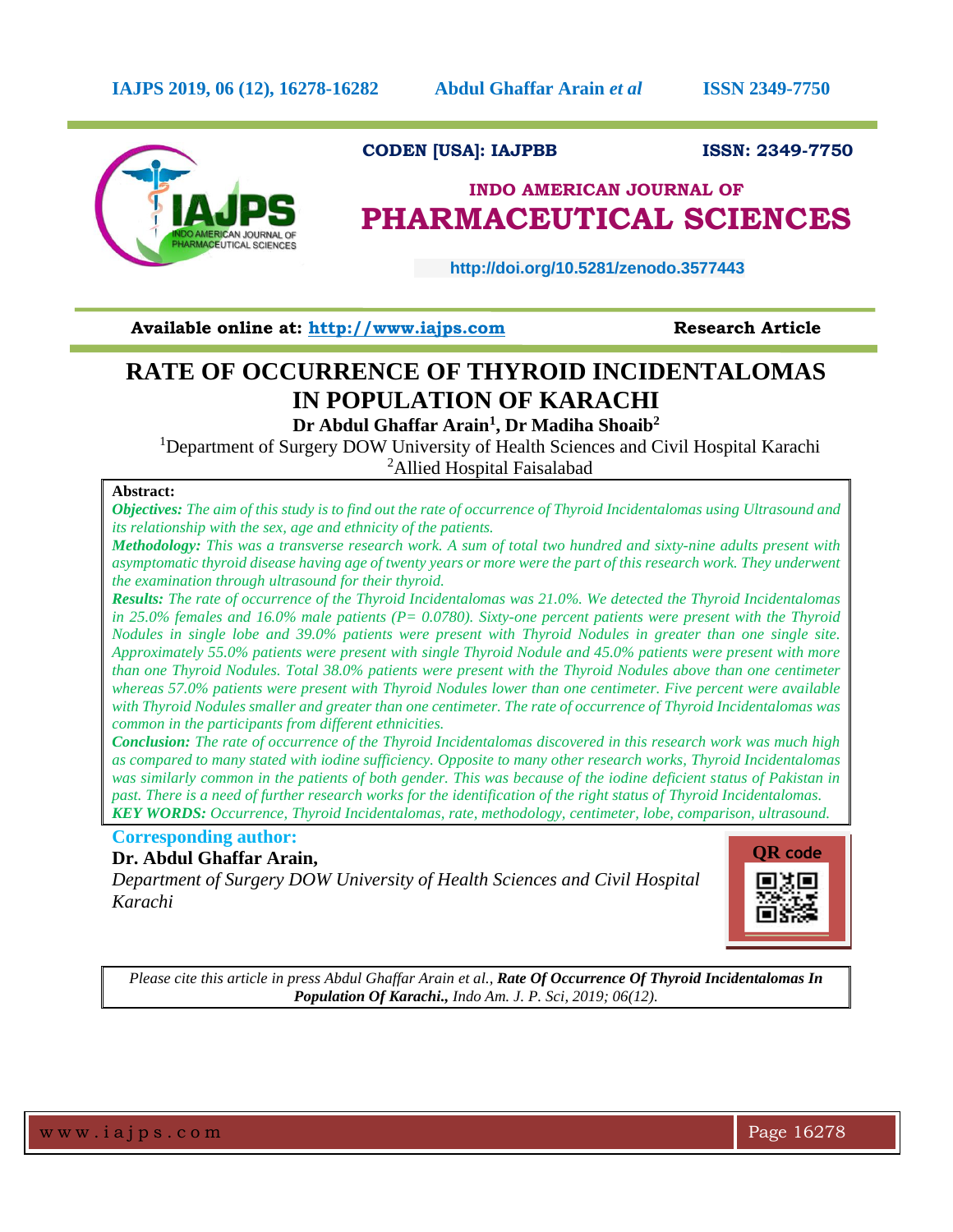

# **CODEN [USA]: IAJPBB ISSN: 2349-7750**

# **INDO AMERICAN JOURNAL OF PHARMACEUTICAL SCIENCES**

 **http://doi.org/10.5281/zenodo.3577443** 

**Available online at: [http://www.iajps.com](http://www.iajps.com/)****Research Article**

# **RATE OF OCCURRENCE OF THYROID INCIDENTALOMAS IN POPULATION OF KARACHI**

**Dr Abdul Ghaffar Arain<sup>1</sup> , Dr Madiha Shoaib<sup>2</sup>**

<sup>1</sup>Department of Surgery DOW University of Health Sciences and Civil Hospital Karachi <sup>2</sup>Allied Hospital Faisalabad

## **Abstract:**

*Objectives: The aim of this study is to find out the rate of occurrence of Thyroid Incidentalomas using Ultrasound and its relationship with the sex, age and ethnicity of the patients.* 

*Methodology: This was a transverse research work. A sum of total two hundred and sixty-nine adults present with asymptomatic thyroid disease having age of twenty years or more were the part of this research work. They underwent the examination through ultrasound for their thyroid.*

*Results: The rate of occurrence of the Thyroid Incidentalomas was 21.0%. We detected the Thyroid Incidentalomas in 25.0% females and 16.0% male patients (P= 0.0780). Sixty-one percent patients were present with the Thyroid Nodules in single lobe and 39.0% patients were present with Thyroid Nodules in greater than one single site. Approximately 55.0% patients were present with single Thyroid Nodule and 45.0% patients were present with more than one Thyroid Nodules. Total 38.0% patients were present with the Thyroid Nodules above than one centimeter whereas 57.0% patients were present with Thyroid Nodules lower than one centimeter. Five percent were available with Thyroid Nodules smaller and greater than one centimeter. The rate of occurrence of Thyroid Incidentalomas was common in the participants from different ethnicities.* 

*Conclusion: The rate of occurrence of the Thyroid Incidentalomas discovered in this research work was much high as compared to many stated with iodine sufficiency. Opposite to many other research works, Thyroid Incidentalomas was similarly common in the patients of both gender. This was because of the iodine deficient status of Pakistan in past. There is a need of further research works for the identification of the right status of Thyroid Incidentalomas. KEY WORDS: Occurrence, Thyroid Incidentalomas, rate, methodology, centimeter, lobe, comparison, ultrasound.* 

# **Corresponding author:**

# **Dr. Abdul Ghaffar Arain,**

*Department of Surgery DOW University of Health Sciences and Civil Hospital Karachi*



*Please cite this article in press Abdul Ghaffar Arain et al., Rate Of Occurrence Of Thyroid Incidentalomas In Population Of Karachi., Indo Am. J. P. Sci, 2019; 06(12).*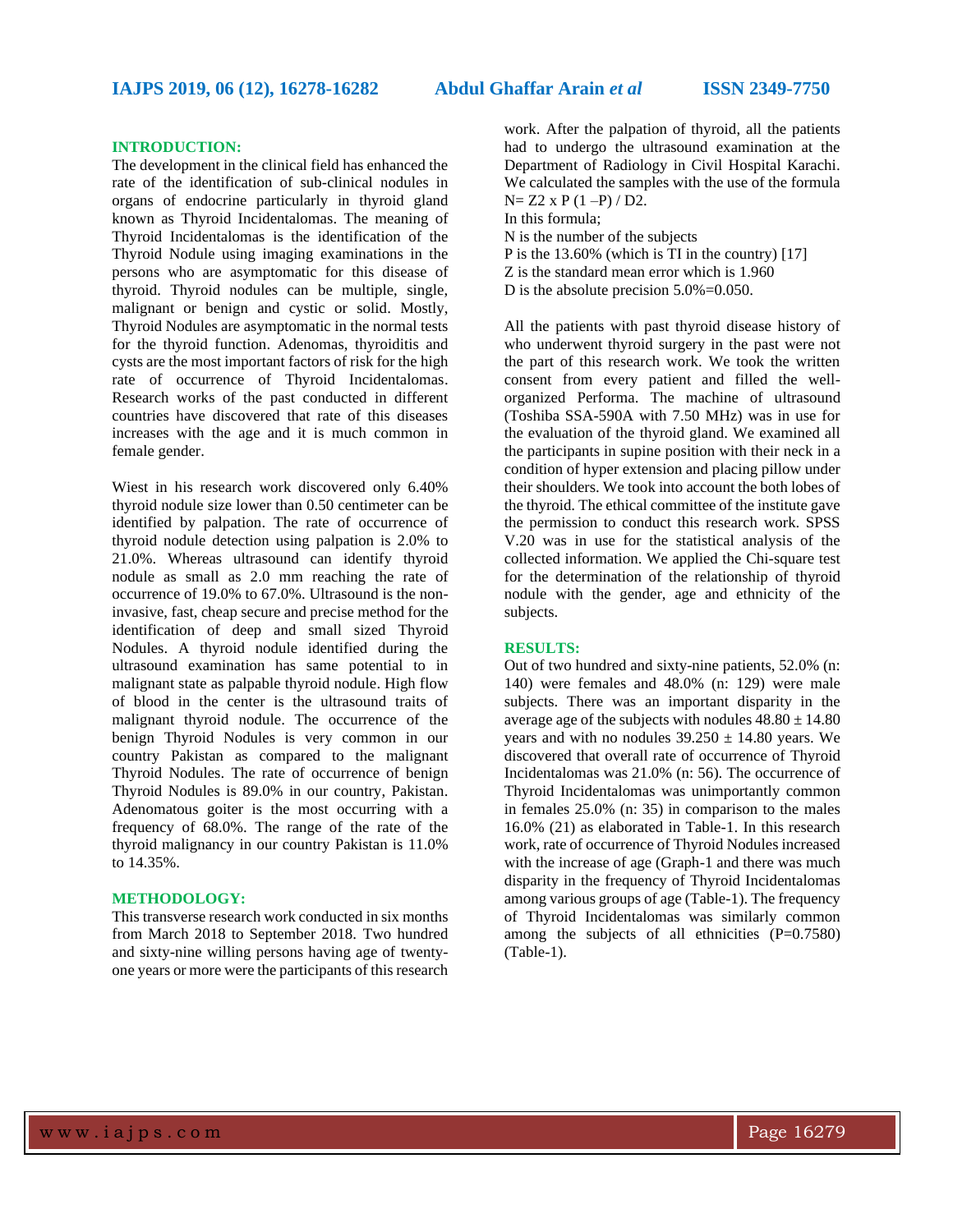#### **INTRODUCTION:**

The development in the clinical field has enhanced the rate of the identification of sub-clinical nodules in organs of endocrine particularly in thyroid gland known as Thyroid Incidentalomas. The meaning of Thyroid Incidentalomas is the identification of the Thyroid Nodule using imaging examinations in the persons who are asymptomatic for this disease of thyroid. Thyroid nodules can be multiple, single, malignant or benign and cystic or solid. Mostly, Thyroid Nodules are asymptomatic in the normal tests for the thyroid function. Adenomas, thyroiditis and cysts are the most important factors of risk for the high rate of occurrence of Thyroid Incidentalomas. Research works of the past conducted in different countries have discovered that rate of this diseases increases with the age and it is much common in female gender.

Wiest in his research work discovered only 6.40% thyroid nodule size lower than 0.50 centimeter can be identified by palpation. The rate of occurrence of thyroid nodule detection using palpation is 2.0% to 21.0%. Whereas ultrasound can identify thyroid nodule as small as 2.0 mm reaching the rate of occurrence of 19.0% to 67.0%. Ultrasound is the noninvasive, fast, cheap secure and precise method for the identification of deep and small sized Thyroid Nodules. A thyroid nodule identified during the ultrasound examination has same potential to in malignant state as palpable thyroid nodule. High flow of blood in the center is the ultrasound traits of malignant thyroid nodule. The occurrence of the benign Thyroid Nodules is very common in our country Pakistan as compared to the malignant Thyroid Nodules. The rate of occurrence of benign Thyroid Nodules is 89.0% in our country, Pakistan. Adenomatous goiter is the most occurring with a frequency of 68.0%. The range of the rate of the thyroid malignancy in our country Pakistan is 11.0% to 14.35%.

#### **METHODOLOGY:**

This transverse research work conducted in six months from March 2018 to September 2018. Two hundred and sixty-nine willing persons having age of twentyone years or more were the participants of this research

work. After the palpation of thyroid, all the patients had to undergo the ultrasound examination at the Department of Radiology in Civil Hospital Karachi. We calculated the samples with the use of the formula  $N= Z2 x P (1-P) / D2.$ 

In this formula;

N is the number of the subjects

P is the 13.60% (which is TI in the country) [17]

Z is the standard mean error which is 1.960

D is the absolute precision 5.0%=0.050.

All the patients with past thyroid disease history of who underwent thyroid surgery in the past were not the part of this research work. We took the written consent from every patient and filled the wellorganized Performa. The machine of ultrasound (Toshiba SSA-590A with 7.50 MHz) was in use for the evaluation of the thyroid gland. We examined all the participants in supine position with their neck in a condition of hyper extension and placing pillow under their shoulders. We took into account the both lobes of the thyroid. The ethical committee of the institute gave the permission to conduct this research work. SPSS V.20 was in use for the statistical analysis of the collected information. We applied the Chi-square test for the determination of the relationship of thyroid nodule with the gender, age and ethnicity of the subjects.

### **RESULTS:**

Out of two hundred and sixty-nine patients, 52.0% (n: 140) were females and 48.0% (n: 129) were male subjects. There was an important disparity in the average age of the subjects with nodules  $48.80 \pm 14.80$ years and with no nodules  $39.250 \pm 14.80$  years. We discovered that overall rate of occurrence of Thyroid Incidentalomas was 21.0% (n: 56). The occurrence of Thyroid Incidentalomas was unimportantly common in females 25.0% (n: 35) in comparison to the males 16.0% (21) as elaborated in Table-1. In this research work, rate of occurrence of Thyroid Nodules increased with the increase of age (Graph-1 and there was much disparity in the frequency of Thyroid Incidentalomas among various groups of age (Table-1). The frequency of Thyroid Incidentalomas was similarly common among the subjects of all ethnicities  $(P=0.7580)$ (Table-1).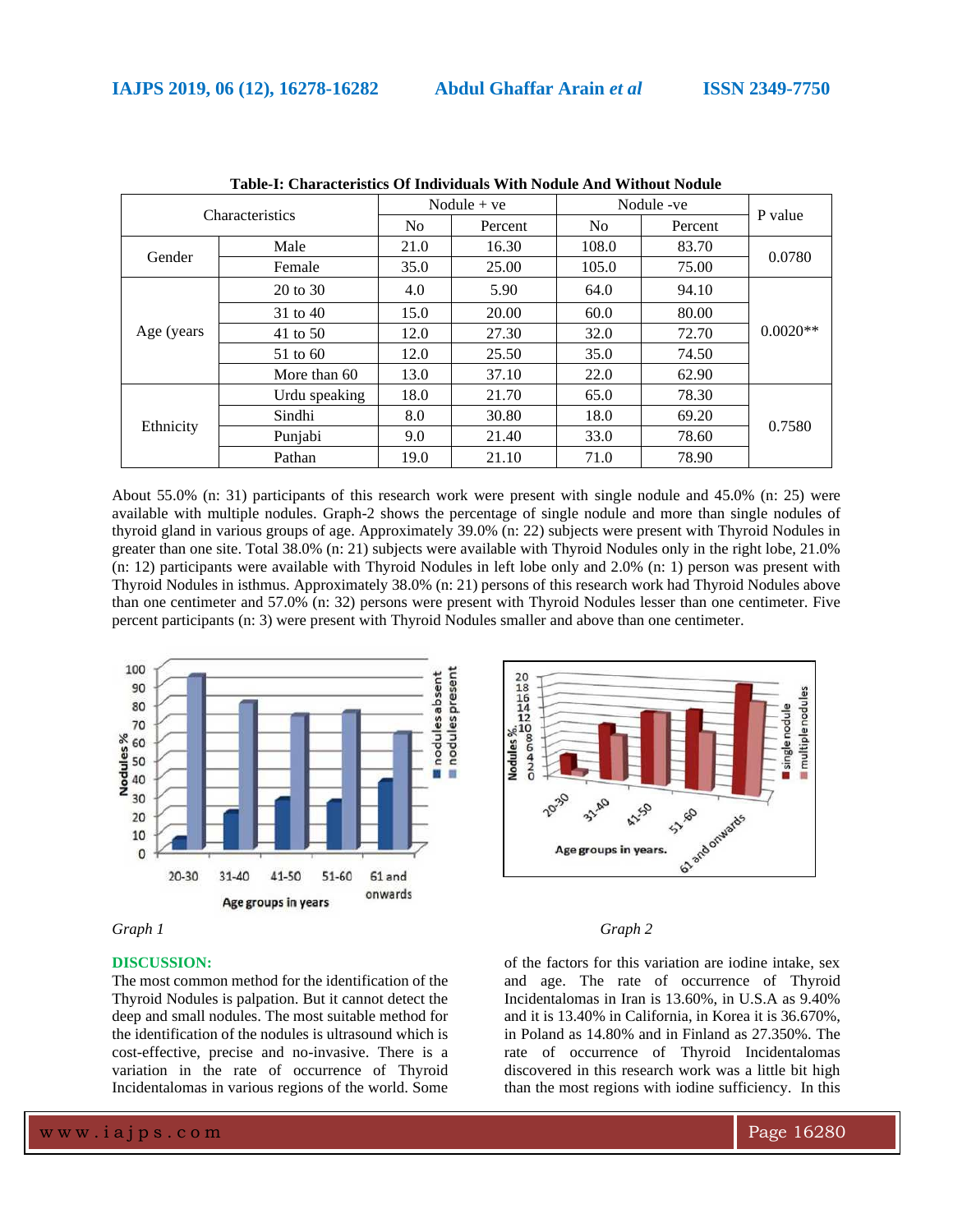| Table-T. Characteristics Of High Algais With Pought Ally Without Pought |               |                |         |                |         |            |
|-------------------------------------------------------------------------|---------------|----------------|---------|----------------|---------|------------|
| <b>Characteristics</b>                                                  |               | Nodule $+ve$   |         | Nodule -ve     |         |            |
|                                                                         |               | N <sub>o</sub> | Percent | N <sub>0</sub> | Percent | P value    |
| Gender                                                                  | Male          | 21.0           | 16.30   | 108.0          | 83.70   | 0.0780     |
|                                                                         | Female        | 35.0           | 25.00   | 105.0          | 75.00   |            |
| Age (years)                                                             | 20 to 30      | 4.0            | 5.90    | 64.0           | 94.10   | $0.0020**$ |
|                                                                         | 31 to 40      | 15.0           | 20.00   | 60.0           | 80.00   |            |
|                                                                         | 41 to 50      | 12.0           | 27.30   | 32.0           | 72.70   |            |
|                                                                         | 51 to 60      | 12.0           | 25.50   | 35.0           | 74.50   |            |
|                                                                         | More than 60  | 13.0           | 37.10   | 22.0           | 62.90   |            |
| Ethnicity                                                               | Urdu speaking | 18.0           | 21.70   | 65.0           | 78.30   | 0.7580     |
|                                                                         | Sindhi        | 8.0            | 30.80   | 18.0           | 69.20   |            |
|                                                                         | Punjabi       | 9.0            | 21.40   | 33.0           | 78.60   |            |
|                                                                         | Pathan        | 19.0           | 21.10   | 71.0           | 78.90   |            |

**Table-I: Characteristics Of Individuals With Nodule And Without Nodule**

About 55.0% (n: 31) participants of this research work were present with single nodule and 45.0% (n: 25) were available with multiple nodules. Graph-2 shows the percentage of single nodule and more than single nodules of thyroid gland in various groups of age. Approximately 39.0% (n: 22) subjects were present with Thyroid Nodules in greater than one site. Total 38.0% (n: 21) subjects were available with Thyroid Nodules only in the right lobe, 21.0% (n: 12) participants were available with Thyroid Nodules in left lobe only and 2.0% (n: 1) person was present with Thyroid Nodules in isthmus. Approximately 38.0% (n: 21) persons of this research work had Thyroid Nodules above than one centimeter and 57.0% (n: 32) persons were present with Thyroid Nodules lesser than one centimeter. Five percent participants (n: 3) were present with Thyroid Nodules smaller and above than one centimeter.





### **DISCUSSION:**

The most common method for the identification of the Thyroid Nodules is palpation. But it cannot detect the deep and small nodules. The most suitable method for the identification of the nodules is ultrasound which is cost-effective, precise and no-invasive. There is a variation in the rate of occurrence of Thyroid Incidentalomas in various regions of the world. Some



of the factors for this variation are iodine intake, sex and age. The rate of occurrence of Thyroid Incidentalomas in Iran is 13.60%, in U.S.A as 9.40% and it is 13.40% in California, in Korea it is 36.670%, in Poland as 14.80% and in Finland as 27.350%. The rate of occurrence of Thyroid Incidentalomas discovered in this research work was a little bit high than the most regions with iodine sufficiency. In this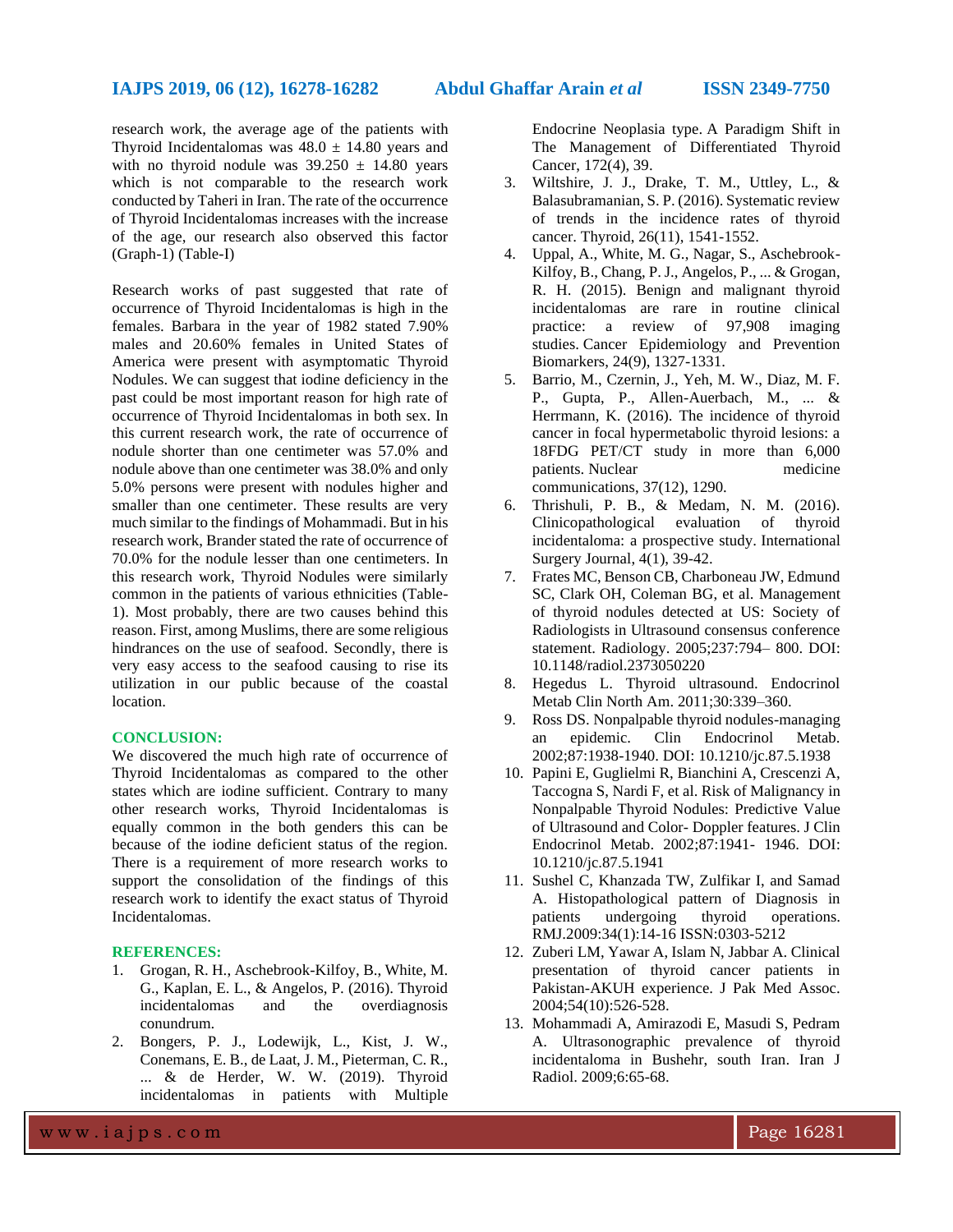research work, the average age of the patients with Thyroid Incidentalomas was  $48.0 \pm 14.80$  years and with no thyroid nodule was  $39.250 \pm 14.80$  years which is not comparable to the research work conducted by Taheri in Iran. The rate of the occurrence of Thyroid Incidentalomas increases with the increase of the age, our research also observed this factor (Graph-1) (Table-I)

Research works of past suggested that rate of occurrence of Thyroid Incidentalomas is high in the females. Barbara in the year of 1982 stated 7.90% males and 20.60% females in United States of America were present with asymptomatic Thyroid Nodules. We can suggest that iodine deficiency in the past could be most important reason for high rate of occurrence of Thyroid Incidentalomas in both sex. In this current research work, the rate of occurrence of nodule shorter than one centimeter was 57.0% and nodule above than one centimeter was 38.0% and only 5.0% persons were present with nodules higher and smaller than one centimeter. These results are very much similar to the findings of Mohammadi. But in his research work, Brander stated the rate of occurrence of 70.0% for the nodule lesser than one centimeters. In this research work, Thyroid Nodules were similarly common in the patients of various ethnicities (Table-1). Most probably, there are two causes behind this reason. First, among Muslims, there are some religious hindrances on the use of seafood. Secondly, there is very easy access to the seafood causing to rise its utilization in our public because of the coastal location.

#### **CONCLUSION:**

We discovered the much high rate of occurrence of Thyroid Incidentalomas as compared to the other states which are iodine sufficient. Contrary to many other research works, Thyroid Incidentalomas is equally common in the both genders this can be because of the iodine deficient status of the region. There is a requirement of more research works to support the consolidation of the findings of this research work to identify the exact status of Thyroid Incidentalomas.

#### **REFERENCES:**

- 1. Grogan, R. H., Aschebrook-Kilfoy, B., White, M. G., Kaplan, E. L., & Angelos, P. (2016). Thyroid incidentalomas and the overdiagnosis conundrum.
- 2. Bongers, P. J., Lodewijk, L., Kist, J. W., Conemans, E. B., de Laat, J. M., Pieterman, C. R., ... & de Herder, W. W. (2019). Thyroid incidentalomas in patients with Multiple

Endocrine Neoplasia type. A Paradigm Shift in The Management of Differentiated Thyroid Cancer, 172(4), 39.

- 3. Wiltshire, J. J., Drake, T. M., Uttley, L., & Balasubramanian, S. P. (2016). Systematic review of trends in the incidence rates of thyroid cancer. Thyroid, 26(11), 1541-1552.
- 4. Uppal, A., White, M. G., Nagar, S., Aschebrook-Kilfoy, B., Chang, P. J., Angelos, P., ... & Grogan, R. H. (2015). Benign and malignant thyroid incidentalomas are rare in routine clinical practice: a review of 97,908 imaging studies. Cancer Epidemiology and Prevention Biomarkers, 24(9), 1327-1331.
- 5. Barrio, M., Czernin, J., Yeh, M. W., Diaz, M. F. P., Gupta, P., Allen-Auerbach, M., ... & Herrmann, K. (2016). The incidence of thyroid cancer in focal hypermetabolic thyroid lesions: a 18FDG PET/CT study in more than 6,000 patients. Nuclear medicine communications, 37(12), 1290.
- 6. Thrishuli, P. B., & Medam, N. M. (2016). Clinicopathological evaluation of thyroid incidentaloma: a prospective study. International Surgery Journal, 4(1), 39-42.
- 7. Frates MC, Benson CB, Charboneau JW, Edmund SC, Clark OH, Coleman BG, et al. Management of thyroid nodules detected at US: Society of Radiologists in Ultrasound consensus conference statement. Radiology. 2005;237:794– 800. DOI: 10.1148/radiol.2373050220
- 8. Hegedus L. Thyroid ultrasound. Endocrinol Metab Clin North Am. 2011;30:339–360.
- 9. Ross DS. Nonpalpable thyroid nodules-managing an epidemic. Clin Endocrinol Metab. 2002;87:1938-1940. DOI: 10.1210/jc.87.5.1938
- 10. Papini E, Guglielmi R, Bianchini A, Crescenzi A, Taccogna S, Nardi F, et al. Risk of Malignancy in Nonpalpable Thyroid Nodules: Predictive Value of Ultrasound and Color- Doppler features. J Clin Endocrinol Metab. 2002;87:1941- 1946. DOI: 10.1210/jc.87.5.1941
- 11. Sushel C, Khanzada TW, Zulfikar I, and Samad A. Histopathological pattern of Diagnosis in patients undergoing thyroid operations. RMJ.2009:34(1):14-16 ISSN:0303-5212
- 12. Zuberi LM, Yawar A, Islam N, Jabbar A. Clinical presentation of thyroid cancer patients in Pakistan-AKUH experience. J Pak Med Assoc. 2004;54(10):526-528.
- 13. Mohammadi A, Amirazodi E, Masudi S, Pedram A. Ultrasonographic prevalence of thyroid incidentaloma in Bushehr, south Iran. Iran J Radiol. 2009;6:65-68.